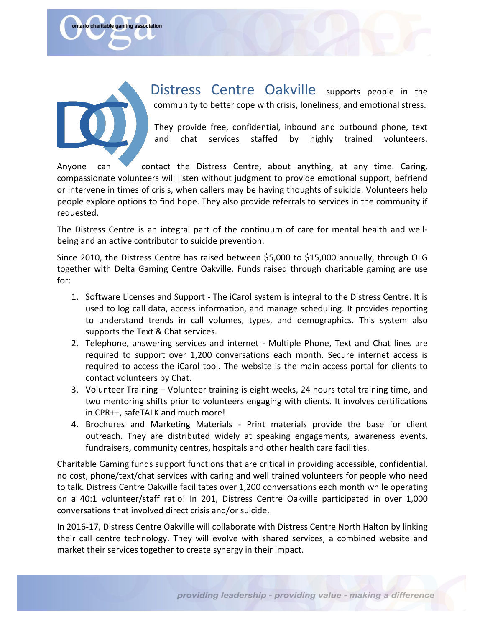

ontario charitable gaming association

Distress Centre Oakville supports people in the community to better cope with crisis, loneliness, and emotional stress.

They provide free, confidential, inbound and outbound phone, text and chat services staffed by highly trained volunteers.

Anyone can contact the Distress Centre, about anything, at any time. Caring, compassionate volunteers will listen without judgment to provide emotional support, befriend or intervene in times of crisis, when callers may be having thoughts of suicide. Volunteers help people explore options to find hope. They also provide referrals to services in the community if requested.

The Distress Centre is an integral part of the continuum of care for mental health and wellbeing and an active contributor to suicide prevention.

Since 2010, the Distress Centre has raised between \$5,000 to \$15,000 annually, through OLG together with Delta Gaming Centre Oakville. Funds raised through charitable gaming are use for:

- 1. Software Licenses and Support The iCarol system is integral to the Distress Centre. It is used to log call data, access information, and manage scheduling. It provides reporting to understand trends in call volumes, types, and demographics. This system also supports the Text & Chat services.
- 2. Telephone, answering services and internet Multiple Phone, Text and Chat lines are required to support over 1,200 conversations each month. Secure internet access is required to access the iCarol tool. The website is the main access portal for clients to contact volunteers by Chat.
- 3. Volunteer Training Volunteer training is eight weeks, 24 hours total training time, and two mentoring shifts prior to volunteers engaging with clients. It involves certifications in CPR++, safeTALK and much more!
- 4. Brochures and Marketing Materials Print materials provide the base for client outreach. They are distributed widely at speaking engagements, awareness events, fundraisers, community centres, hospitals and other health care facilities.

Charitable Gaming funds support functions that are critical in providing accessible, confidential, no cost, phone/text/chat services with caring and well trained volunteers for people who need to talk. Distress Centre Oakville facilitates over 1,200 conversations each month while operating on a 40:1 volunteer/staff ratio! In 201, Distress Centre Oakville participated in over 1,000 conversations that involved direct crisis and/or suicide.

In 2016-17, Distress Centre Oakville will collaborate with Distress Centre North Halton by linking their call centre technology. They will evolve with shared services, a combined website and market their services together to create synergy in their impact.